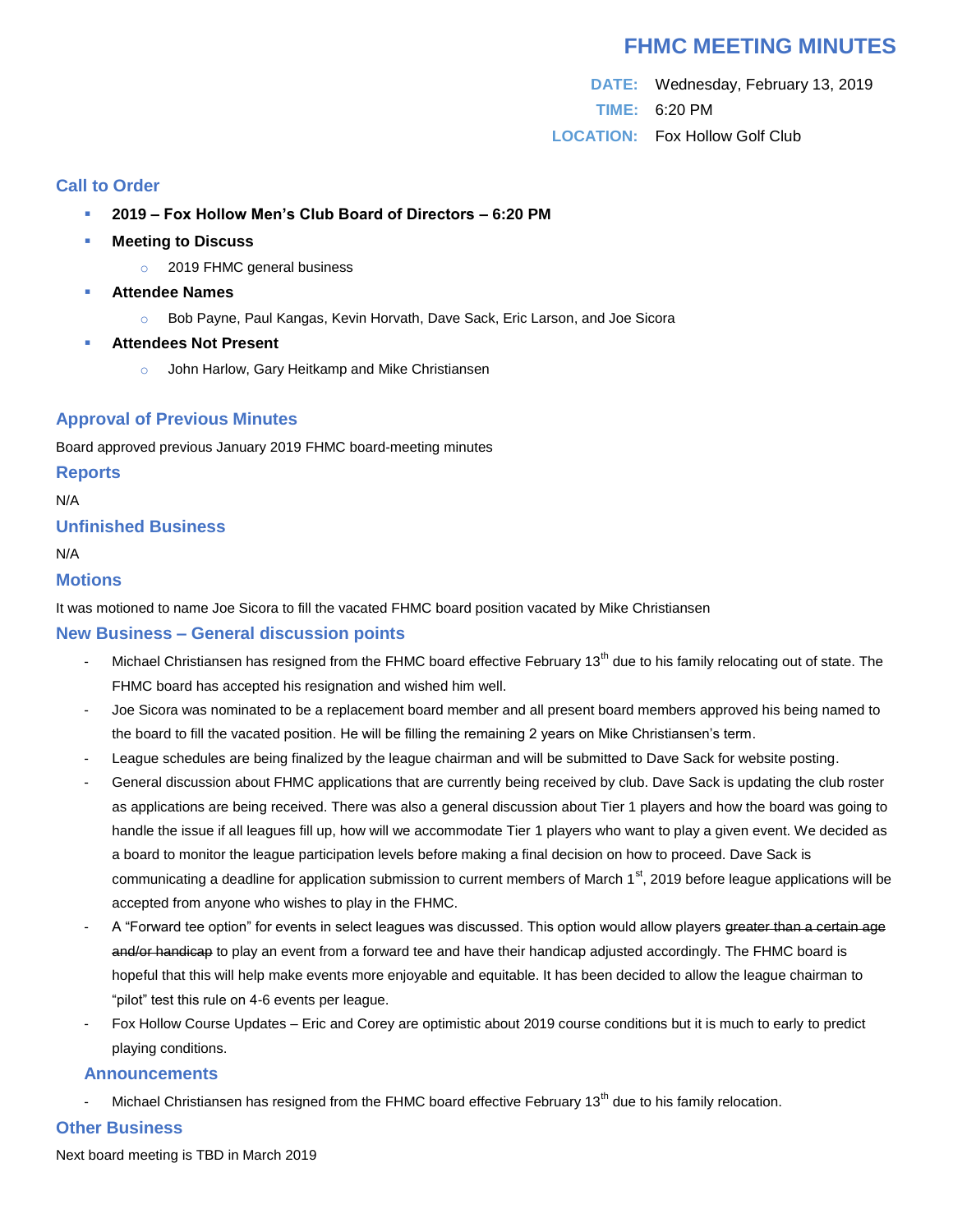# **FHMC MEETING MINUTES**

**DATE:** Wednesday, February 13, 2019 **TIME:** 6:20 PM **LOCATION:** Fox Hollow Golf Club

# **Call to Order**

- **2019 – Fox Hollow Men's Club Board of Directors – 6:20 PM**
- **Meeting to Discuss**
	- o 2019 FHMC general business
- **Attendee Names**
	- o Bob Payne, Paul Kangas, Kevin Horvath, Dave Sack, Eric Larson, and Joe Sicora
- **Attendees Not Present**
	- o John Harlow, Gary Heitkamp and Mike Christiansen

## **Approval of Previous Minutes**

Board approved previous January 2019 FHMC board-meeting minutes

#### **Reports**

N/A

## **Unfinished Business**

N/A

#### **Motions**

It was motioned to name Joe Sicora to fill the vacated FHMC board position vacated by Mike Christiansen

## **New Business – General discussion points**

- Michael Christiansen has resigned from the FHMC board effective February 13<sup>th</sup> due to his family relocating out of state. The FHMC board has accepted his resignation and wished him well.
- Joe Sicora was nominated to be a replacement board member and all present board members approved his being named to the board to fill the vacated position. He will be filling the remaining 2 years on Mike Christiansen's term.
- League schedules are being finalized by the league chairman and will be submitted to Dave Sack for website posting.
- General discussion about FHMC applications that are currently being received by club. Dave Sack is updating the club roster as applications are being received. There was also a general discussion about Tier 1 players and how the board was going to handle the issue if all leagues fill up, how will we accommodate Tier 1 players who want to play a given event. We decided as a board to monitor the league participation levels before making a final decision on how to proceed. Dave Sack is communicating a deadline for application submission to current members of March 1<sup>st</sup>, 2019 before league applications will be accepted from anyone who wishes to play in the FHMC.
- A "Forward tee option" for events in select leagues was discussed. This option would allow players greater than a certain age and/or handicap to play an event from a forward tee and have their handicap adjusted accordingly. The FHMC board is hopeful that this will help make events more enjoyable and equitable. It has been decided to allow the league chairman to "pilot" test this rule on 4-6 events per league.
- Fox Hollow Course Updates Eric and Corey are optimistic about 2019 course conditions but it is much to early to predict playing conditions.

#### **Announcements**

Michael Christiansen has resigned from the FHMC board effective February 13<sup>th</sup> due to his family relocation.

## **Other Business**